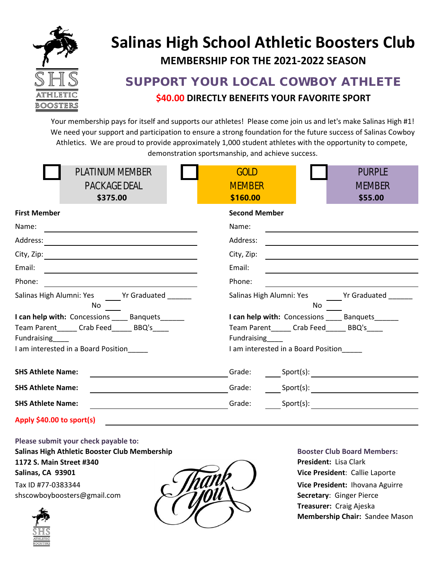

# **Salinas High School Athletic Boosters Club MEMBERSHIP FOR THE 2021-2022 SEASON**

# SUPPORT YOUR LOCAL COWBOY ATHLETE **\$40.00 DIRECTLY BENEFITS YOUR FAVORITE SPORT**

Your membership pays for itself and supports our athletes! Please come join us and let's make Salinas High #1! We need your support and participation to ensure a strong foundation for the future success of Salinas Cowboy Athletics. We are proud to provide approximately 1,000 student athletes with the opportunity to compete, demonstration sportsmanship, and achieve success.

| <b>PLATINUM MEMBER</b><br><b>PACKAGE DEAL</b><br>\$375.00                                                                                                                                                                            | <b>GOLD</b><br><b>PURPLE</b><br><b>MEMBER</b><br><b>MEMBER</b><br>\$160.00<br>\$55.00 |
|--------------------------------------------------------------------------------------------------------------------------------------------------------------------------------------------------------------------------------------|---------------------------------------------------------------------------------------|
| <b>First Member</b>                                                                                                                                                                                                                  | <b>Second Member</b>                                                                  |
|                                                                                                                                                                                                                                      | Name:                                                                                 |
|                                                                                                                                                                                                                                      | Address:                                                                              |
| City, Zip: <u>City, Zip: City, Zip: City, Zip: City, Zip: City, Zip: City, Zip: City, Zip: City, Zip: City, Zip: City, Zip: City, Zip: City, Zip: City, Zip: City, Zip: City, Zip: City, Zip: City, Zip: City, Zip: City, Zip: C</u> | City, Zip:                                                                            |
| Email:<br><u> 1989 - Johann Stein, mars an deus Amerikaansk kommunister (</u>                                                                                                                                                        | Email:                                                                                |
| Phone:                                                                                                                                                                                                                               | Phone:                                                                                |
| Salinas High Alumni: Yes Yr Graduated<br>No                                                                                                                                                                                          | Salinas High Alumni: Yes Yr Graduated<br>No.                                          |
| I can help with: Concessions ____ Banquets______                                                                                                                                                                                     | I can help with: Concessions Banquets                                                 |
| Team Parent______ Crab Feed______ BBQ's____<br>Fundraising                                                                                                                                                                           | Team Parent______ Crab Feed______ BBQ's____<br>Fundraising                            |
| I am interested in a Board Position                                                                                                                                                                                                  | I am interested in a Board Position                                                   |
| <b>SHS Athlete Name:</b>                                                                                                                                                                                                             |                                                                                       |
| <b>SHS Athlete Name:</b>                                                                                                                                                                                                             |                                                                                       |
| <b>SHS Athlete Name:</b>                                                                                                                                                                                                             | Grade:                                                                                |
| Apply \$40.00 to sport(s)                                                                                                                                                                                                            |                                                                                       |

**Please submit your check payable to: Salinas High Athletic Booster Club Membership Booster Club Board Members: 1172 S. Main Street #340 President:** Lisa Clark **Salinas, CA 93901 Vice President**: Callie Laporte Tax ID #77-0383344 **Vice President:** Ihovana Aguirre [shscowboyboosters@gmail.com](mailto:shscowboyboosters@gmail.com) **Secretary: Ginger Pierce** 





**Treasurer:** Craig Ajeska **Membership Chair:** Sandee Mason